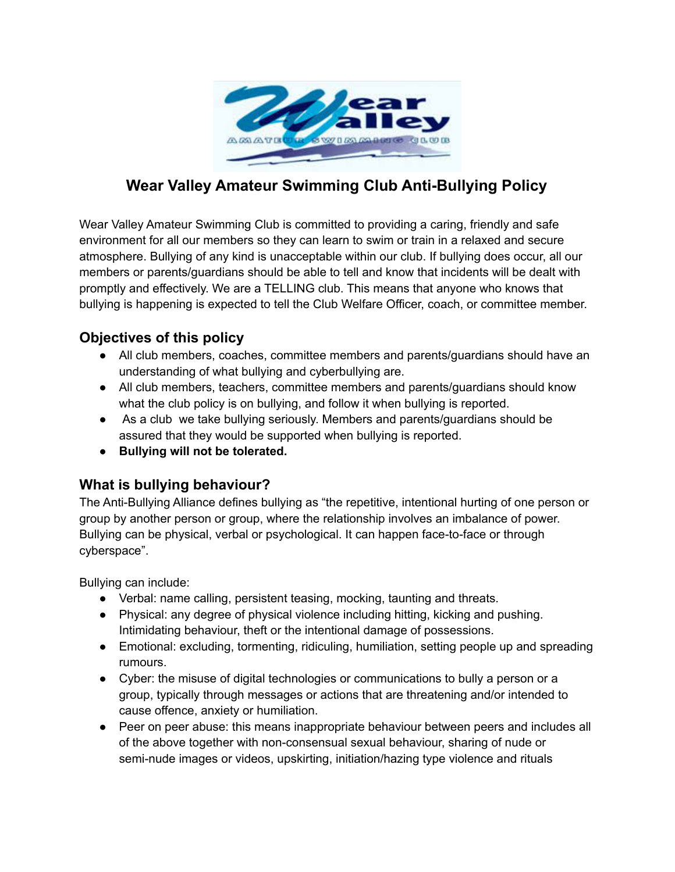

## **Wear Valley Amateur Swimming Club Anti-Bullying Policy**

Wear Valley Amateur Swimming Club is committed to providing a caring, friendly and safe environment for all our members so they can learn to swim or train in a relaxed and secure atmosphere. Bullying of any kind is unacceptable within our club. If bullying does occur, all our members or parents/guardians should be able to tell and know that incidents will be dealt with promptly and effectively. We are a TELLING club. This means that anyone who knows that bullying is happening is expected to tell the Club Welfare Officer, coach, or committee member.

#### **Objectives of this policy**

- All club members, coaches, committee members and parents/guardians should have an understanding of what bullying and cyberbullying are.
- All club members, teachers, committee members and parents/guardians should know what the club policy is on bullying, and follow it when bullying is reported.
- As a club we take bullying seriously. Members and parents/guardians should be assured that they would be supported when bullying is reported.
- **● Bullying will not be tolerated.**

#### **What is bullying behaviour?**

The Anti-Bullying Alliance defines bullying as "the repetitive, intentional hurting of one person or group by another person or group, where the relationship involves an imbalance of power. Bullying can be physical, verbal or psychological. It can happen face-to-face or through cyberspace".

Bullying can include:

- Verbal: name calling, persistent teasing, mocking, taunting and threats.
- Physical: any degree of physical violence including hitting, kicking and pushing. Intimidating behaviour, theft or the intentional damage of possessions.
- Emotional: excluding, tormenting, ridiculing, humiliation, setting people up and spreading rumours.
- Cyber: the misuse of digital technologies or communications to bully a person or a group, typically through messages or actions that are threatening and/or intended to cause offence, anxiety or humiliation.
- Peer on peer abuse: this means inappropriate behaviour between peers and includes all of the above together with non-consensual sexual behaviour, sharing of nude or semi-nude images or videos, upskirting, initiation/hazing type violence and rituals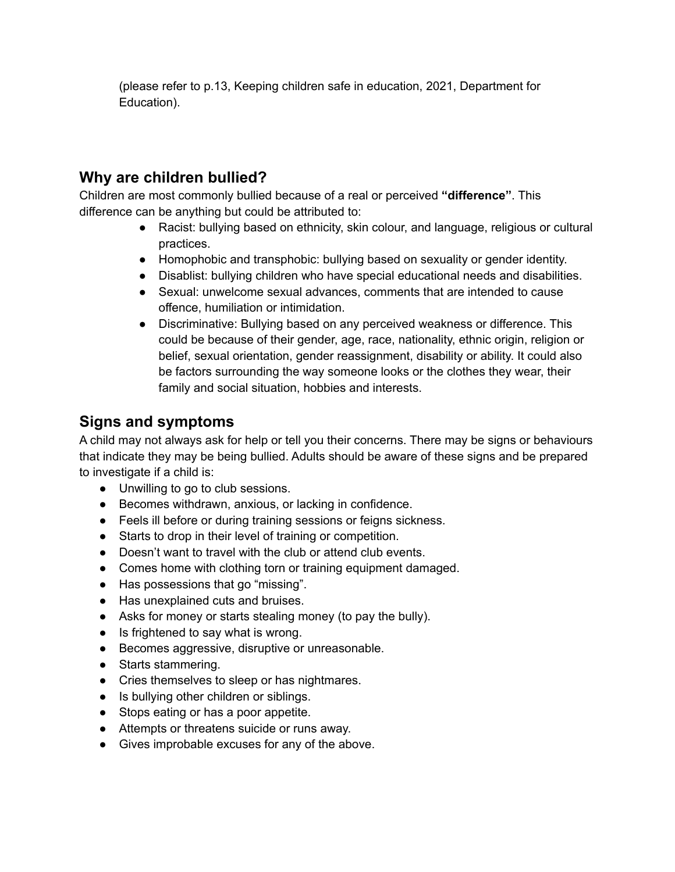(please refer to p.13, Keeping children safe in education, 2021, Department for Education).

### **Why are children bullied?**

Children are most commonly bullied because of a real or perceived **"difference"**. This difference can be anything but could be attributed to:

- Racist: bullying based on ethnicity, skin colour, and language, religious or cultural practices.
- Homophobic and transphobic: bullying based on sexuality or gender identity.
- Disablist: bullying children who have special educational needs and disabilities.
- Sexual: unwelcome sexual advances, comments that are intended to cause offence, humiliation or intimidation.
- Discriminative: Bullying based on any perceived weakness or difference. This could be because of their gender, age, race, nationality, ethnic origin, religion or belief, sexual orientation, gender reassignment, disability or ability. It could also be factors surrounding the way someone looks or the clothes they wear, their family and social situation, hobbies and interests.

## **Signs and symptoms**

A child may not always ask for help or tell you their concerns. There may be signs or behaviours that indicate they may be being bullied. Adults should be aware of these signs and be prepared to investigate if a child is:

- Unwilling to go to club sessions.
- Becomes withdrawn, anxious, or lacking in confidence.
- Feels ill before or during training sessions or feigns sickness.
- Starts to drop in their level of training or competition.
- Doesn't want to travel with the club or attend club events.
- Comes home with clothing torn or training equipment damaged.
- Has possessions that go "missing".
- Has unexplained cuts and bruises.
- Asks for money or starts stealing money (to pay the bully).
- Is frightened to say what is wrong.
- Becomes aggressive, disruptive or unreasonable.
- Starts stammering.
- Cries themselves to sleep or has nightmares.
- Is bullying other children or siblings.
- Stops eating or has a poor appetite.
- Attempts or threatens suicide or runs away.
- Gives improbable excuses for any of the above.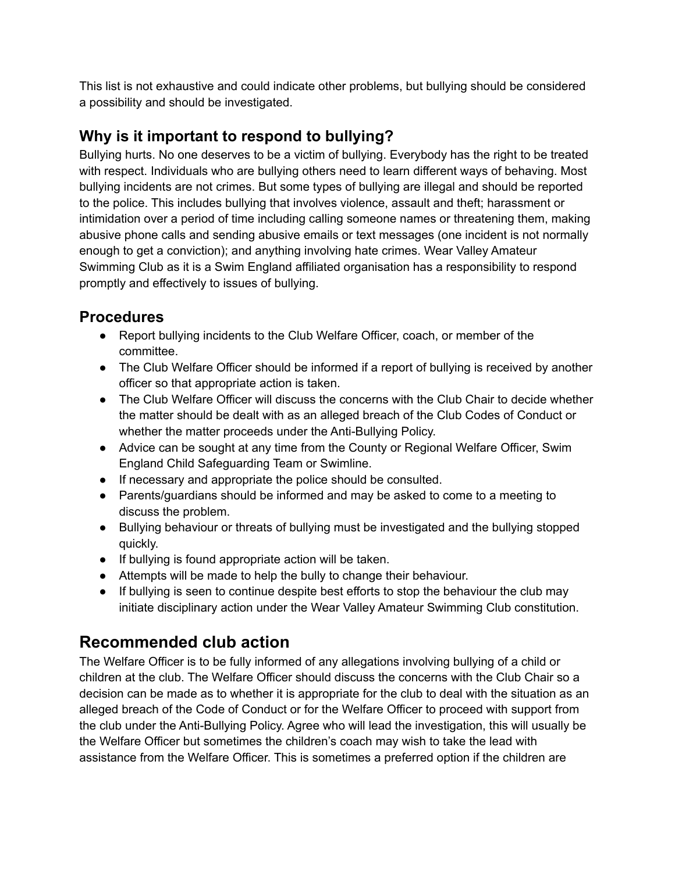This list is not exhaustive and could indicate other problems, but bullying should be considered a possibility and should be investigated.

## **Why is it important to respond to bullying?**

Bullying hurts. No one deserves to be a victim of bullying. Everybody has the right to be treated with respect. Individuals who are bullying others need to learn different ways of behaving. Most bullying incidents are not crimes. But some types of bullying are illegal and should be reported to the police. This includes bullying that involves violence, assault and theft; harassment or intimidation over a period of time including calling someone names or threatening them, making abusive phone calls and sending abusive emails or text messages (one incident is not normally enough to get a conviction); and anything involving hate crimes. Wear Valley Amateur Swimming Club as it is a Swim England affiliated organisation has a responsibility to respond promptly and effectively to issues of bullying.

## **Procedures**

- Report bullying incidents to the Club Welfare Officer, coach, or member of the committee.
- The Club Welfare Officer should be informed if a report of bullying is received by another officer so that appropriate action is taken.
- The Club Welfare Officer will discuss the concerns with the Club Chair to decide whether the matter should be dealt with as an alleged breach of the Club Codes of Conduct or whether the matter proceeds under the Anti-Bullying Policy.
- Advice can be sought at any time from the County or Regional Welfare Officer, Swim England Child Safeguarding Team or Swimline.
- If necessary and appropriate the police should be consulted.
- Parents/guardians should be informed and may be asked to come to a meeting to discuss the problem.
- Bullying behaviour or threats of bullying must be investigated and the bullying stopped quickly.
- If bullying is found appropriate action will be taken.
- Attempts will be made to help the bully to change their behaviour.
- If bullying is seen to continue despite best efforts to stop the behaviour the club may initiate disciplinary action under the Wear Valley Amateur Swimming Club constitution.

# **Recommended club action**

The Welfare Officer is to be fully informed of any allegations involving bullying of a child or children at the club. The Welfare Officer should discuss the concerns with the Club Chair so a decision can be made as to whether it is appropriate for the club to deal with the situation as an alleged breach of the Code of Conduct or for the Welfare Officer to proceed with support from the club under the Anti-Bullying Policy. Agree who will lead the investigation, this will usually be the Welfare Officer but sometimes the children's coach may wish to take the lead with assistance from the Welfare Officer. This is sometimes a preferred option if the children are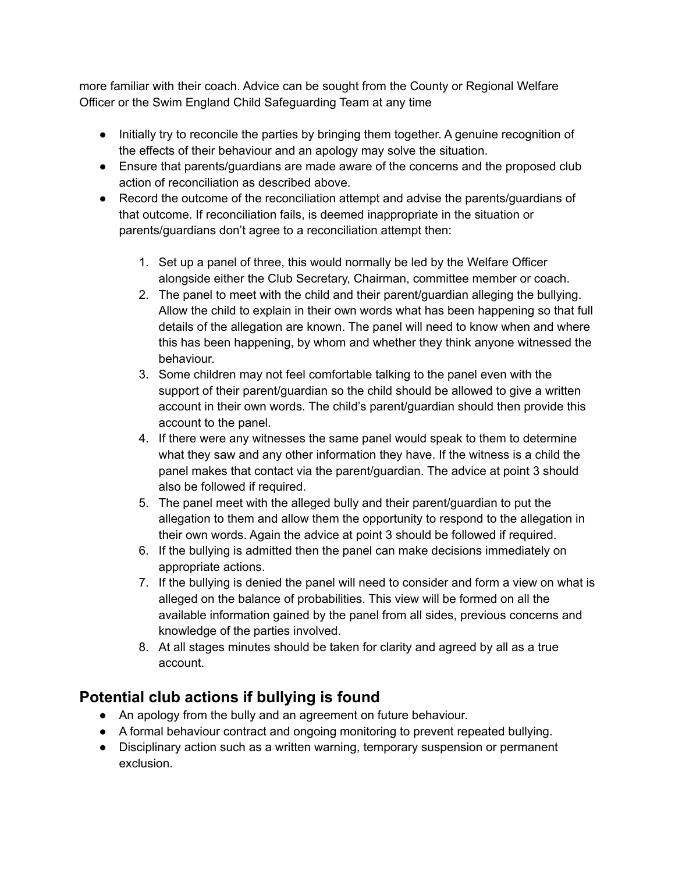more familiar with their coach. Advice can be sought from the County or Regional Welfare Officer or the Swim England Child Safeguarding Team at any time

- Initially try to reconcile the parties by bringing them together. A genuine recognition of the effects of their behaviour and an apology may solve the situation.
- Ensure that parents/guardians are made aware of the concerns and the proposed club action of reconciliation as described above.
- Record the outcome of the reconciliation attempt and advise the parents/guardians of that outcome. If reconciliation fails, is deemed inappropriate in the situation or parents/guardians don't agree to a reconciliation attempt then:
	- 1. Set up a panel of three, this would normally be led by the Welfare Officer alongside either the Club Secretary, Chairman, committee member or coach.
	- 2. The panel to meet with the child and their parent/guardian alleging the bullying. Allow the child to explain in their own words what has been happening so that full details of the allegation are known. The panel will need to know when and where this has been happening, by whom and whether they think anyone witnessed the behaviour.
	- 3. Some children may not feel comfortable talking to the panel even with the support of their parent/guardian so the child should be allowed to give a written account in their own words. The child's parent/guardian should then provide this account to the panel.
	- 4. If there were any witnesses the same panel would speak to them to determine what they saw and any other information they have. If the witness is a child the panel makes that contact via the parent/guardian. The advice at point 3 should also be followed if required.
	- 5. The panel meet with the alleged bully and their parent/guardian to put the allegation to them and allow them the opportunity to respond to the allegation in their own words. Again the advice at point 3 should be followed if required.
	- 6. If the bullying is admitted then the panel can make decisions immediately on appropriate actions.
	- 7. If the bullying is denied the panel will need to consider and form a view on what is alleged on the balance of probabilities. This view will be formed on all the available information gained by the panel from all sides, previous concerns and knowledge of the parties involved.
	- 8. At all stages minutes should be taken for clarity and agreed by all as a true account.

## **Potential club actions if bullying is found**

- An apology from the bully and an agreement on future behaviour.
- A formal behaviour contract and ongoing monitoring to prevent repeated bullying.
- Disciplinary action such as a written warning, temporary suspension or permanent exclusion.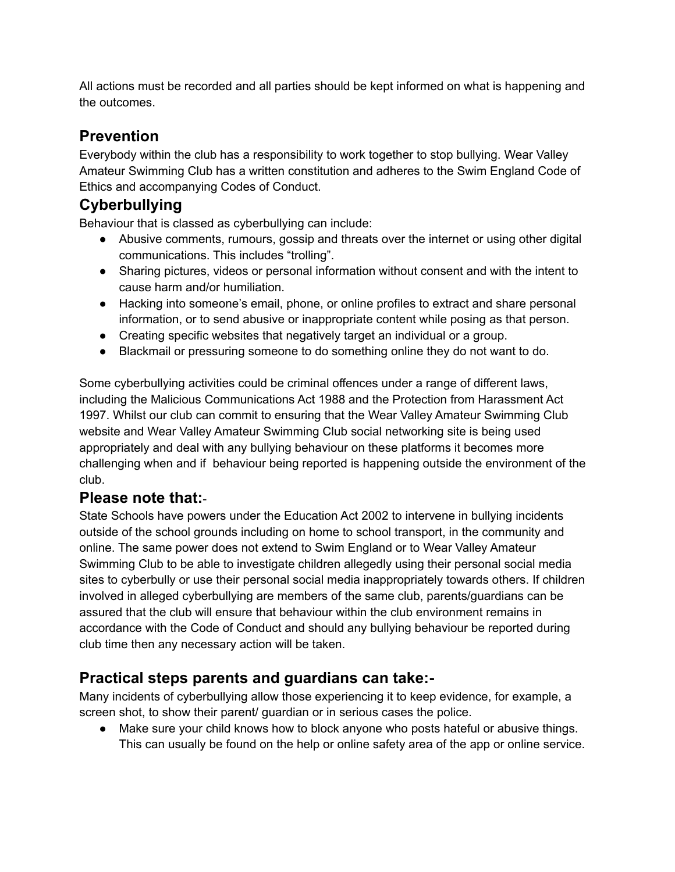All actions must be recorded and all parties should be kept informed on what is happening and the outcomes.

## **Prevention**

Everybody within the club has a responsibility to work together to stop bullying. Wear Valley Amateur Swimming Club has a written constitution and adheres to the Swim England Code of Ethics and accompanying Codes of Conduct.

# **Cyberbullying**

Behaviour that is classed as cyberbullying can include:

- Abusive comments, rumours, gossip and threats over the internet or using other digital communications. This includes "trolling".
- Sharing pictures, videos or personal information without consent and with the intent to cause harm and/or humiliation.
- Hacking into someone's email, phone, or online profiles to extract and share personal information, or to send abusive or inappropriate content while posing as that person.
- Creating specific websites that negatively target an individual or a group.
- Blackmail or pressuring someone to do something online they do not want to do.

Some cyberbullying activities could be criminal offences under a range of different laws, including the Malicious Communications Act 1988 and the Protection from Harassment Act 1997. Whilst our club can commit to ensuring that the Wear Valley Amateur Swimming Club website and Wear Valley Amateur Swimming Club social networking site is being used appropriately and deal with any bullying behaviour on these platforms it becomes more challenging when and if behaviour being reported is happening outside the environment of the club.

### **Please note that:**-

State Schools have powers under the Education Act 2002 to intervene in bullying incidents outside of the school grounds including on home to school transport, in the community and online. The same power does not extend to Swim England or to Wear Valley Amateur Swimming Club to be able to investigate children allegedly using their personal social media sites to cyberbully or use their personal social media inappropriately towards others. If children involved in alleged cyberbullying are members of the same club, parents/guardians can be assured that the club will ensure that behaviour within the club environment remains in accordance with the Code of Conduct and should any bullying behaviour be reported during club time then any necessary action will be taken.

### **Practical steps parents and guardians can take:-**

Many incidents of cyberbullying allow those experiencing it to keep evidence, for example, a screen shot, to show their parent/ guardian or in serious cases the police.

● Make sure your child knows how to block anyone who posts hateful or abusive things. This can usually be found on the help or online safety area of the app or online service.